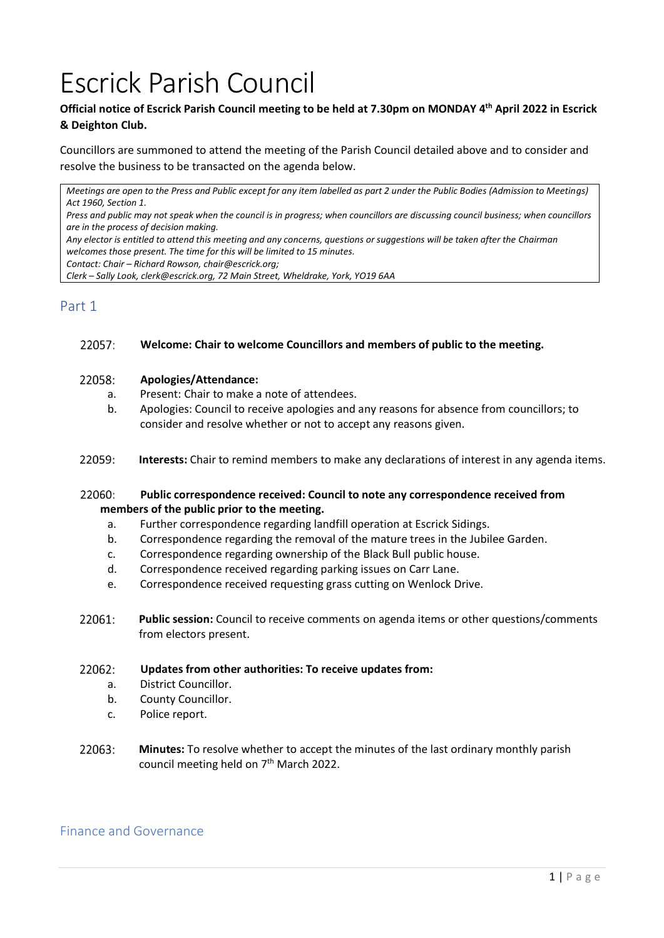# Escrick Parish Council

# **Official notice of Escrick Parish Council meeting to be held at 7.30pm on MONDAY 4 th April 2022 in Escrick & Deighton Club.**

Councillors are summoned to attend the meeting of the Parish Council detailed above and to consider and resolve the business to be transacted on the agenda below.

*Meetings are open to the Press and Public except for any item labelled as part 2 under the Public Bodies (Admission to Meetings) Act 1960, Section 1.*

*Press and public may not speak when the council is in progress; when councillors are discussing council business; when councillors are in the process of decision making.*

*Any elector is entitled to attend this meeting and any concerns, questions or suggestions will be taken after the Chairman welcomes those present. The time for this will be limited to 15 minutes.*

*Contact: Chair – Richard Rowson, chair@escrick.org;* 

*Clerk – Sally Look, clerk@escrick.org, 72 Main Street, Wheldrake, York, YO19 6AA*

# Part 1

#### 22057: **Welcome: Chair to welcome Councillors and members of public to the meeting.**

#### 22058: **Apologies/Attendance:**

- a. Present: Chair to make a note of attendees.
- b. Apologies: Council to receive apologies and any reasons for absence from councillors; to consider and resolve whether or not to accept any reasons given.
- 22059: **Interests:** Chair to remind members to make any declarations of interest in any agenda items.

#### 22060: **Public correspondence received: Council to note any correspondence received from members of the public prior to the meeting.**

- a. Further correspondence regarding landfill operation at Escrick Sidings.
- b. Correspondence regarding the removal of the mature trees in the Jubilee Garden.
- c. Correspondence regarding ownership of the Black Bull public house.
- d. Correspondence received regarding parking issues on Carr Lane.
- e. Correspondence received requesting grass cutting on Wenlock Drive.
- 22061: **Public session:** Council to receive comments on agenda items or other questions/comments from electors present.

#### 22062: **Updates from other authorities: To receive updates from:**

- a. District Councillor.
- b. County Councillor.
- c. Police report.
- 22063: **Minutes:** To resolve whether to accept the minutes of the last ordinary monthly parish council meeting held on 7<sup>th</sup> March 2022.

# Finance and Governance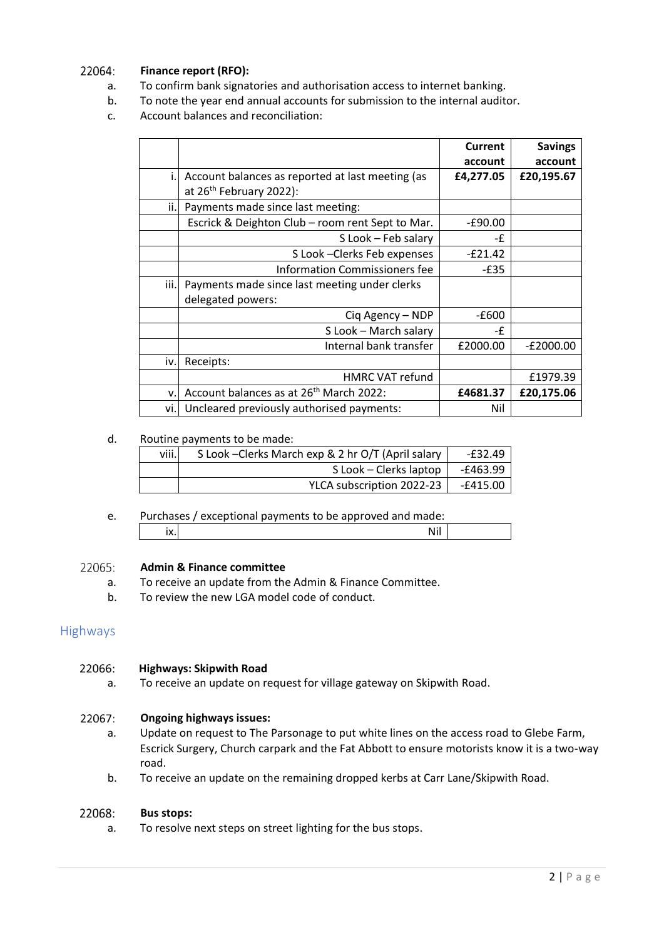#### 22064: **Finance report (RFO):**

- a. To confirm bank signatories and authorisation access to internet banking.
- b. To note the year end annual accounts for submission to the internal auditor.
- c. Account balances and reconciliation:

|      |                                                                                         | Current<br>account | <b>Savings</b><br>account |
|------|-----------------------------------------------------------------------------------------|--------------------|---------------------------|
| i.l  | Account balances as reported at last meeting (as<br>at 26 <sup>th</sup> February 2022): | £4,277.05          | £20,195.67                |
| ii.l | Payments made since last meeting:                                                       |                    |                           |
|      | Escrick & Deighton Club - room rent Sept to Mar.                                        | $-£90.00$          |                           |
|      | S Look - Feb salary                                                                     | -£                 |                           |
|      | S Look - Clerks Feb expenses                                                            | $-E21.42$          |                           |
|      | <b>Information Commissioners fee</b>                                                    | $-E35$             |                           |
| iii. | Payments made since last meeting under clerks<br>delegated powers:                      |                    |                           |
|      | Ciq Agency - NDP                                                                        | -£600              |                           |
|      | S Look - March salary                                                                   | -£                 |                           |
|      | Internal bank transfer                                                                  | £2000.00           | $-E2000.00$               |
| iv.l | Receipts:                                                                               |                    |                           |
|      | <b>HMRC VAT refund</b>                                                                  |                    | £1979.39                  |
| V.   | Account balances as at 26 <sup>th</sup> March 2022:                                     | £4681.37           | £20,175.06                |
| vi.l | Uncleared previously authorised payments:                                               | Nil                |                           |

### d. Routine payments to be made:

| viii. | S Look - Clerks March exp & 2 hr O/T (April salary | -£32.49  |
|-------|----------------------------------------------------|----------|
|       | S Look – Clerks laptop                             | -£463.99 |
|       | YLCA subscription 2022-23                          | -£415.00 |

e. Purchases / exceptional payments to be approved and made: ix. Nil

#### 22065: **Admin & Finance committee**

- a. To receive an update from the Admin & Finance Committee.
- b. To review the new LGA model code of conduct.

# Highways

#### 22066: **Highways: Skipwith Road**

a. To receive an update on request for village gateway on Skipwith Road.

#### 22067: **Ongoing highways issues:**

- a. Update on request to The Parsonage to put white lines on the access road to Glebe Farm, Escrick Surgery, Church carpark and the Fat Abbott to ensure motorists know it is a two-way road.
- b. To receive an update on the remaining dropped kerbs at Carr Lane/Skipwith Road.

#### 22068: **Bus stops:**

a. To resolve next steps on street lighting for the bus stops.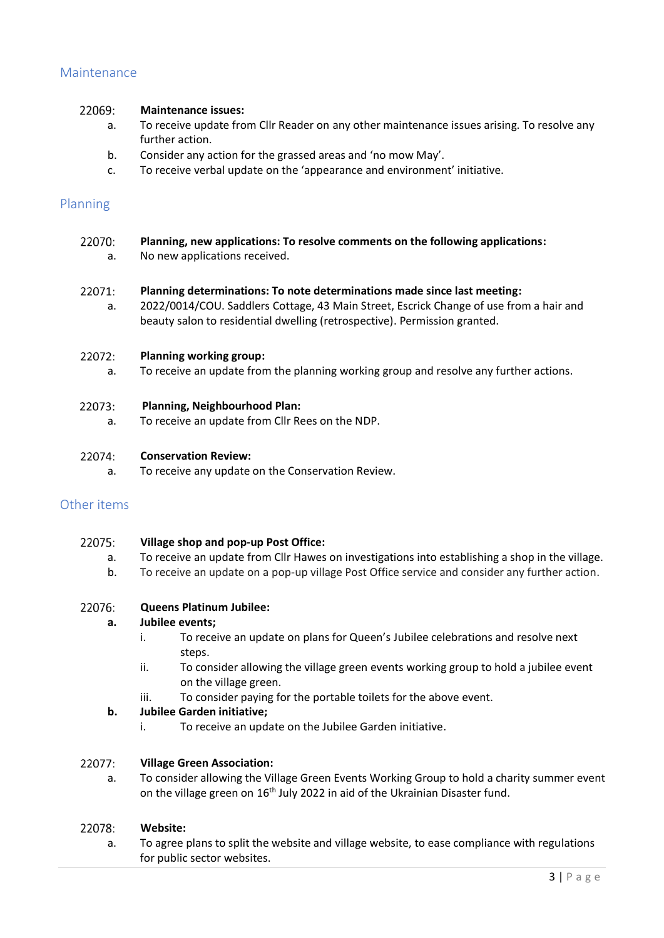# Maintenance

#### 22069: **Maintenance issues:**

- a. To receive update from Cllr Reader on any other maintenance issues arising. To resolve any further action.
- b. Consider any action for the grassed areas and 'no mow May'.
- c. To receive verbal update on the 'appearance and environment' initiative.

# Planning

| Planning, new applications: To resolve comments on the following applications: |  |
|--------------------------------------------------------------------------------|--|
| No new applications received.                                                  |  |
|                                                                                |  |
|                                                                                |  |

#### 22071: **Planning determinations: To note determinations made since last meeting:**

a. 2022/0014/COU. Saddlers Cottage, 43 Main Street, Escrick Change of use from a hair and beauty salon to residential dwelling (retrospective). Permission granted.

#### 22072: **Planning working group:**

a. To receive an update from the planning working group and resolve any further actions.

#### 22073: **Planning, Neighbourhood Plan:**

a. To receive an update from Cllr Rees on the NDP.

#### 22074: **Conservation Review:**

a. To receive any update on the Conservation Review.

# Other items

#### 22075: **Village shop and pop-up Post Office:**

- a. To receive an update from Cllr Hawes on investigations into establishing a shop in the village.
- b. To receive an update on a pop-up village Post Office service and consider any further action.

#### 22076: **Queens Platinum Jubilee:**

# **a. Jubilee events;**

- i. To receive an update on plans for Queen's Jubilee celebrations and resolve next steps.
- ii. To consider allowing the village green events working group to hold a jubilee event on the village green.
- iii. To consider paying for the portable toilets for the above event.

# **b. Jubilee Garden initiative;**

i. To receive an update on the Jubilee Garden initiative.

#### 22077: **Village Green Association:**

a. To consider allowing the Village Green Events Working Group to hold a charity summer event on the village green on 16<sup>th</sup> July 2022 in aid of the Ukrainian Disaster fund.

#### 22078: **Website:**

a. To agree plans to split the website and village website, to ease compliance with regulations for public sector websites.